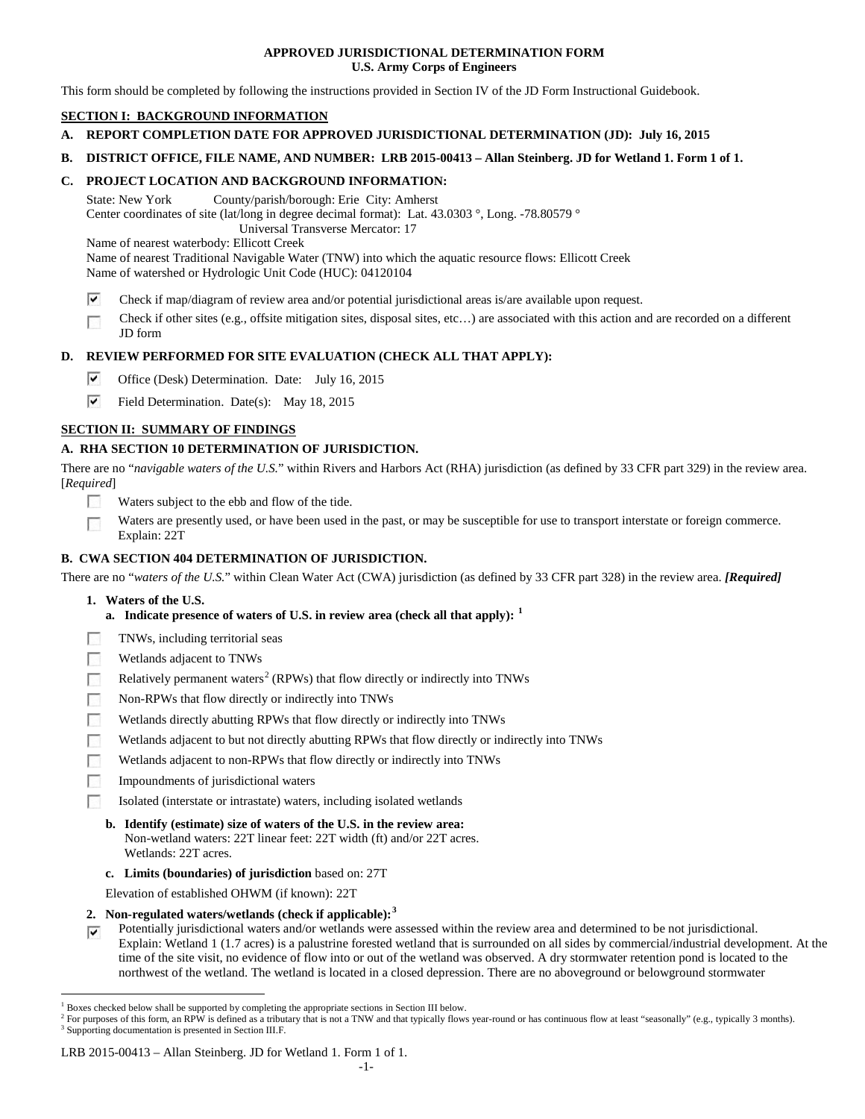### **APPROVED JURISDICTIONAL DETERMINATION FORM U.S. Army Corps of Engineers**

This form should be completed by following the instructions provided in Section IV of the JD Form Instructional Guidebook.

## **SECTION I: BACKGROUND INFORMATION**

- **A. REPORT COMPLETION DATE FOR APPROVED JURISDICTIONAL DETERMINATION (JD): July 16, 2015**
- **B. DISTRICT OFFICE, FILE NAME, AND NUMBER: LRB 2015-00413 – Allan Steinberg. JD for Wetland 1. Form 1 of 1.**

## **C. PROJECT LOCATION AND BACKGROUND INFORMATION:**

State: New York County/parish/borough: Erie City: Amherst Center coordinates of site (lat/long in degree decimal format): Lat. 43.0303 °, Long. -78.80579 ° Universal Transverse Mercator: 17

Name of nearest waterbody: Ellicott Creek

Name of nearest Traditional Navigable Water (TNW) into which the aquatic resource flows: Ellicott Creek Name of watershed or Hydrologic Unit Code (HUC): 04120104

- ⊽ Check if map/diagram of review area and/or potential jurisdictional areas is/are available upon request.
- Check if other sites (e.g., offsite mitigation sites, disposal sites, etc…) are associated with this action and are recorded on a different  $\overline{\phantom{a}}$ JD form

## **D. REVIEW PERFORMED FOR SITE EVALUATION (CHECK ALL THAT APPLY):**

- ⊽ Office (Desk) Determination. Date: July 16, 2015
- ⊽ Field Determination. Date(s): May 18, 2015

# **SECTION II: SUMMARY OF FINDINGS**

## **A. RHA SECTION 10 DETERMINATION OF JURISDICTION.**

There are no "*navigable waters of the U.S.*" within Rivers and Harbors Act (RHA) jurisdiction (as defined by 33 CFR part 329) in the review area. [*Required*]

- Waters subject to the ebb and flow of the tide.
- Waters are presently used, or have been used in the past, or may be susceptible for use to transport interstate or foreign commerce. Explain: 22T

## **B. CWA SECTION 404 DETERMINATION OF JURISDICTION.**

There are no "*waters of the U.S.*" within Clean Water Act (CWA) jurisdiction (as defined by 33 CFR part 328) in the review area. *[Required]*

- **1. Waters of the U.S.**
	- **a. Indicate presence of waters of U.S. in review area (check all that apply): [1](#page-0-0)**
- TNWs, including territorial seas **R**
- 50 Wetlands adjacent to TNWs
- Relatively permanent waters<sup>[2](#page-0-1)</sup> (RPWs) that flow directly or indirectly into TNWs **FRI**
- $\overline{a}$ Non-RPWs that flow directly or indirectly into TNWs
- **R** Wetlands directly abutting RPWs that flow directly or indirectly into TNWs
- Wetlands adjacent to but not directly abutting RPWs that flow directly or indirectly into TNWs
- Wetlands adjacent to non-RPWs that flow directly or indirectly into TNWs **R**
- **FRI** Impoundments of jurisdictional waters
- Isolated (interstate or intrastate) waters, including isolated wetlands

# **b. Identify (estimate) size of waters of the U.S. in the review area:**

- Non-wetland waters: 22T linear feet: 22T width (ft) and/or 22T acres. Wetlands: 22T acres.
- **c. Limits (boundaries) of jurisdiction** based on: 27T

Elevation of established OHWM (if known): 22T

- **2. Non-regulated waters/wetlands (check if applicable): [3](#page-0-2)**
- Potentially jurisdictional waters and/or wetlands were assessed within the review area and determined to be not jurisdictional.  $\overline{\mathbf{v}}$ Explain: Wetland 1 (1.7 acres) is a palustrine forested wetland that is surrounded on all sides by commercial/industrial development. At the time of the site visit, no evidence of flow into or out of the wetland was observed. A dry stormwater retention pond is located to the northwest of the wetland. The wetland is located in a closed depression. There are no aboveground or belowground stormwater

#### LRB 2015-00413 – Allan Steinberg. JD for Wetland 1. Form 1 of 1.

<span id="page-0-0"></span><sup>&</sup>lt;sup>1</sup> Boxes checked below shall be supported by completing the appropriate sections in Section III below.

<span id="page-0-2"></span><span id="page-0-1"></span> $^2$  For purposes of this form, an RPW is defined as a tributary that is not a TNW and that typically flows year-round or has continuous flow at least "seasonally" (e.g., typically 3 months).  $^3$  Supporting documentation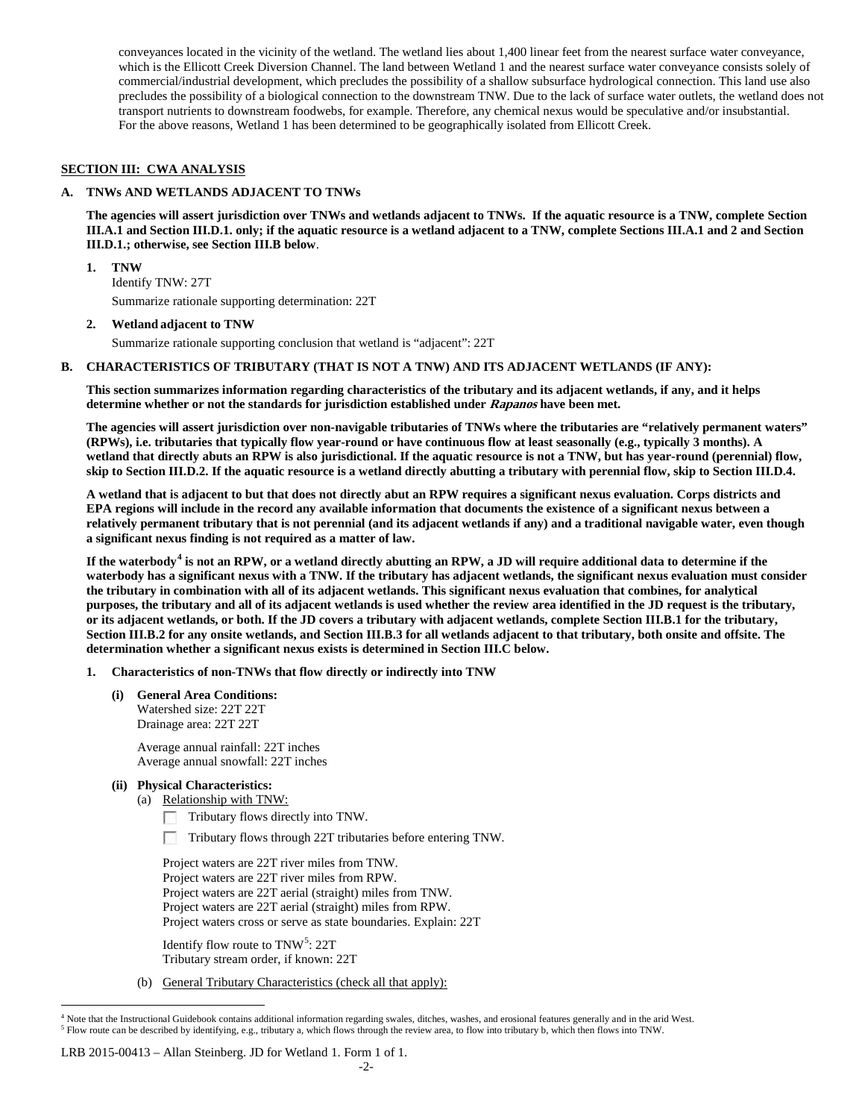conveyances located in the vicinity of the wetland. The wetland lies about 1,400 linear feet from the nearest surface water conveyance, which is the Ellicott Creek Diversion Channel. The land between Wetland 1 and the nearest surface water conveyance consists solely of commercial/industrial development, which precludes the possibility of a shallow subsurface hydrological connection. This land use also precludes the possibility of a biological connection to the downstream TNW. Due to the lack of surface water outlets, the wetland does not transport nutrients to downstream foodwebs, for example. Therefore, any chemical nexus would be speculative and/or insubstantial. For the above reasons, Wetland 1 has been determined to be geographically isolated from Ellicott Creek.

### **SECTION III: CWA ANALYSIS**

#### **A. TNWs AND WETLANDS ADJACENT TO TNWs**

**The agencies will assert jurisdiction over TNWs and wetlands adjacent to TNWs. If the aquatic resource is a TNW, complete Section III.A.1 and Section III.D.1. only; if the aquatic resource is a wetland adjacent to a TNW, complete Sections III.A.1 and 2 and Section III.D.1.; otherwise, see Section III.B below**.

**1. TNW** 

Identify TNW: 27T Summarize rationale supporting determination: 22T

**2. Wetland adjacent to TNW**

Summarize rationale supporting conclusion that wetland is "adjacent": 22T

#### **B. CHARACTERISTICS OF TRIBUTARY (THAT IS NOT A TNW) AND ITS ADJACENT WETLANDS (IF ANY):**

**This section summarizes information regarding characteristics of the tributary and its adjacent wetlands, if any, and it helps determine whether or not the standards for jurisdiction established under Rapanos have been met.** 

**The agencies will assert jurisdiction over non-navigable tributaries of TNWs where the tributaries are "relatively permanent waters" (RPWs), i.e. tributaries that typically flow year-round or have continuous flow at least seasonally (e.g., typically 3 months). A wetland that directly abuts an RPW is also jurisdictional. If the aquatic resource is not a TNW, but has year-round (perennial) flow, skip to Section III.D.2. If the aquatic resource is a wetland directly abutting a tributary with perennial flow, skip to Section III.D.4.**

**A wetland that is adjacent to but that does not directly abut an RPW requires a significant nexus evaluation. Corps districts and EPA regions will include in the record any available information that documents the existence of a significant nexus between a relatively permanent tributary that is not perennial (and its adjacent wetlands if any) and a traditional navigable water, even though a significant nexus finding is not required as a matter of law.**

**If the waterbody[4](#page-1-0) is not an RPW, or a wetland directly abutting an RPW, a JD will require additional data to determine if the waterbody has a significant nexus with a TNW. If the tributary has adjacent wetlands, the significant nexus evaluation must consider the tributary in combination with all of its adjacent wetlands. This significant nexus evaluation that combines, for analytical purposes, the tributary and all of its adjacent wetlands is used whether the review area identified in the JD request is the tributary, or its adjacent wetlands, or both. If the JD covers a tributary with adjacent wetlands, complete Section III.B.1 for the tributary, Section III.B.2 for any onsite wetlands, and Section III.B.3 for all wetlands adjacent to that tributary, both onsite and offsite. The determination whether a significant nexus exists is determined in Section III.C below.**

- **1. Characteristics of non-TNWs that flow directly or indirectly into TNW**
	- **(i) General Area Conditions:** Watershed size: 22T 22T Drainage area: 22T 22T

Average annual rainfall: 22T inches Average annual snowfall: 22T inches

- **(ii) Physical Characteristics:**
	- (a) Relationship with TNW:
		- Tributary flows directly into TNW.
		- Tributary flows through 22T tributaries before entering TNW. □

Project waters are 22T river miles from TNW. Project waters are 22T river miles from RPW. Project waters are 22T aerial (straight) miles from TNW. Project waters are 22T aerial (straight) miles from RPW. Project waters cross or serve as state boundaries. Explain: 22T

Identify flow route to TNW<sup>[5](#page-1-1)</sup>: 22T Tributary stream order, if known: 22T

(b) General Tributary Characteristics (check all that apply):

#### LRB 2015-00413 – Allan Steinberg. JD for Wetland 1. Form 1 of 1.

<span id="page-1-1"></span><span id="page-1-0"></span> $4$  Note that the Instructional Guidebook contains additional information regarding swales, ditches, washes, and erosional features generally and in the arid West.<br>  $5$  Flow route can be described by identifying, e.g., tr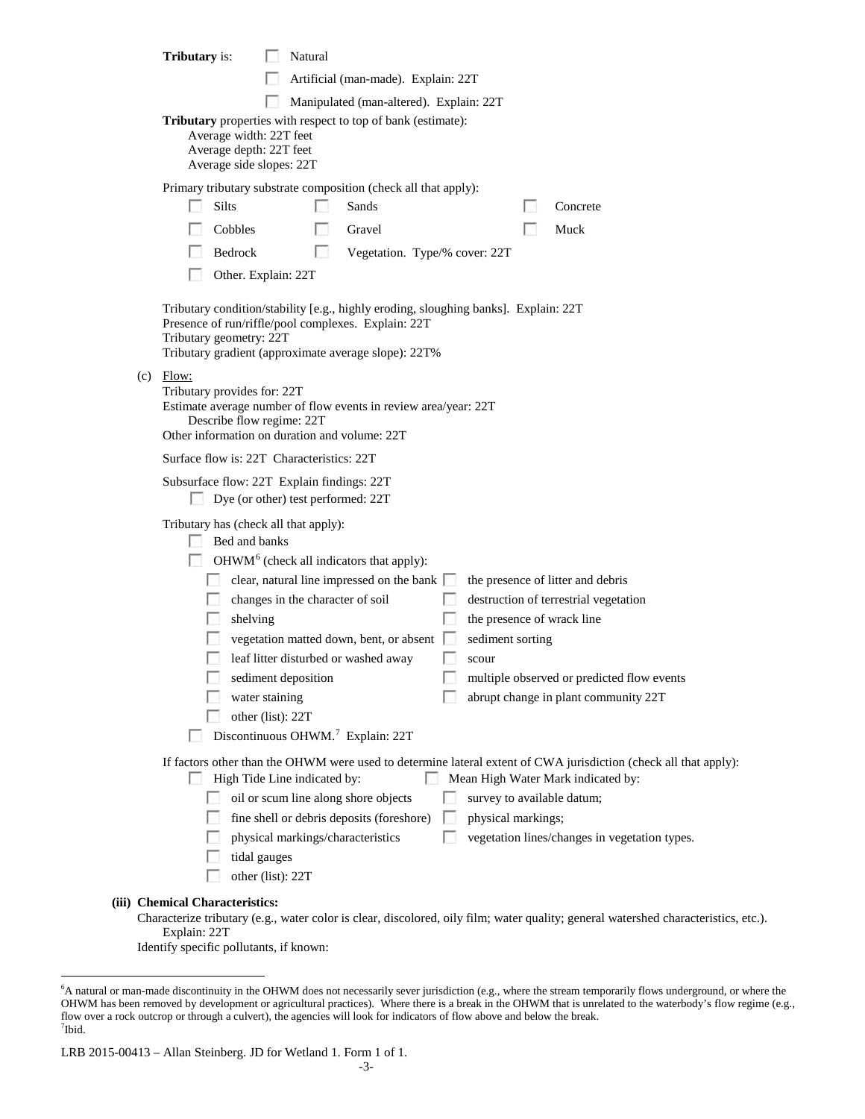|                                                                                                                                                                                             | <b>Tributary</b> is:                                                                                                                                |                                                                                                                             | Natural |                                                                                                                                                                                                                                              |    |                                                         |  |                                                                                                                                                                  |
|---------------------------------------------------------------------------------------------------------------------------------------------------------------------------------------------|-----------------------------------------------------------------------------------------------------------------------------------------------------|-----------------------------------------------------------------------------------------------------------------------------|---------|----------------------------------------------------------------------------------------------------------------------------------------------------------------------------------------------------------------------------------------------|----|---------------------------------------------------------|--|------------------------------------------------------------------------------------------------------------------------------------------------------------------|
|                                                                                                                                                                                             |                                                                                                                                                     |                                                                                                                             |         | Artificial (man-made). Explain: 22T                                                                                                                                                                                                          |    |                                                         |  |                                                                                                                                                                  |
|                                                                                                                                                                                             |                                                                                                                                                     |                                                                                                                             |         | Manipulated (man-altered). Explain: 22T                                                                                                                                                                                                      |    |                                                         |  |                                                                                                                                                                  |
|                                                                                                                                                                                             |                                                                                                                                                     |                                                                                                                             |         |                                                                                                                                                                                                                                              |    |                                                         |  |                                                                                                                                                                  |
|                                                                                                                                                                                             | Tributary properties with respect to top of bank (estimate):<br>Average width: 22T feet<br>Average depth: 22T feet<br>Average side slopes: 22T      |                                                                                                                             |         |                                                                                                                                                                                                                                              |    |                                                         |  |                                                                                                                                                                  |
|                                                                                                                                                                                             |                                                                                                                                                     |                                                                                                                             |         | Primary tributary substrate composition (check all that apply):                                                                                                                                                                              |    |                                                         |  |                                                                                                                                                                  |
|                                                                                                                                                                                             | Silts                                                                                                                                               |                                                                                                                             |         | Sands                                                                                                                                                                                                                                        |    |                                                         |  | Concrete                                                                                                                                                         |
|                                                                                                                                                                                             | Cobbles                                                                                                                                             |                                                                                                                             |         | Gravel                                                                                                                                                                                                                                       |    |                                                         |  | Muck                                                                                                                                                             |
|                                                                                                                                                                                             | Bedrock                                                                                                                                             |                                                                                                                             | ы       | Vegetation. Type/% cover: 22T                                                                                                                                                                                                                |    |                                                         |  |                                                                                                                                                                  |
|                                                                                                                                                                                             |                                                                                                                                                     | Other. Explain: 22T                                                                                                         |         |                                                                                                                                                                                                                                              |    |                                                         |  |                                                                                                                                                                  |
|                                                                                                                                                                                             | Tributary geometry: 22T                                                                                                                             |                                                                                                                             |         | Tributary condition/stability [e.g., highly eroding, sloughing banks]. Explain: 22T<br>Presence of run/riffle/pool complexes. Explain: 22T<br>Tributary gradient (approximate average slope): 22T%                                           |    |                                                         |  |                                                                                                                                                                  |
| $(c)$ Flow:<br>Tributary provides for: 22T<br>Estimate average number of flow events in review area/year: 22T<br>Describe flow regime: 22T<br>Other information on duration and volume: 22T |                                                                                                                                                     |                                                                                                                             |         |                                                                                                                                                                                                                                              |    |                                                         |  |                                                                                                                                                                  |
|                                                                                                                                                                                             | Surface flow is: 22T Characteristics: 22T                                                                                                           |                                                                                                                             |         |                                                                                                                                                                                                                                              |    |                                                         |  |                                                                                                                                                                  |
|                                                                                                                                                                                             | Subsurface flow: 22T Explain findings: 22T                                                                                                          | Dye (or other) test performed: 22T                                                                                          |         |                                                                                                                                                                                                                                              |    |                                                         |  |                                                                                                                                                                  |
|                                                                                                                                                                                             | Tributary has (check all that apply):<br><b>Barbara</b>                                                                                             | Bed and banks<br>changes in the character of soil<br>shelving<br>sediment deposition<br>water staining<br>other (list): 22T |         | OHWM <sup>6</sup> (check all indicators that apply):<br>clear, natural line impressed on the bank $\Box$<br>vegetation matted down, bent, or absent<br>leaf litter disturbed or washed away<br>Discontinuous OHWM. <sup>7</sup> Explain: 22T |    | the presence of wrack line<br>sediment sorting<br>scour |  | the presence of litter and debris<br>destruction of terrestrial vegetation<br>multiple observed or predicted flow events<br>abrupt change in plant community 22T |
| If factors other than the OHWM were used to determine lateral extent of CWA jurisdiction (check all that apply):                                                                            |                                                                                                                                                     |                                                                                                                             |         |                                                                                                                                                                                                                                              |    |                                                         |  |                                                                                                                                                                  |
|                                                                                                                                                                                             |                                                                                                                                                     | High Tide Line indicated by:<br>Mean High Water Mark indicated by:<br>$\sim$                                                |         |                                                                                                                                                                                                                                              |    |                                                         |  |                                                                                                                                                                  |
|                                                                                                                                                                                             |                                                                                                                                                     |                                                                                                                             |         | oil or scum line along shore objects                                                                                                                                                                                                         |    | survey to available datum;                              |  |                                                                                                                                                                  |
|                                                                                                                                                                                             |                                                                                                                                                     |                                                                                                                             |         | fine shell or debris deposits (foreshore)                                                                                                                                                                                                    |    | physical markings;                                      |  |                                                                                                                                                                  |
|                                                                                                                                                                                             |                                                                                                                                                     |                                                                                                                             |         | physical markings/characteristics                                                                                                                                                                                                            | l. |                                                         |  | vegetation lines/changes in vegetation types.                                                                                                                    |
|                                                                                                                                                                                             |                                                                                                                                                     | tidal gauges                                                                                                                |         |                                                                                                                                                                                                                                              |    |                                                         |  |                                                                                                                                                                  |
|                                                                                                                                                                                             |                                                                                                                                                     | other (list): 22T                                                                                                           |         |                                                                                                                                                                                                                                              |    |                                                         |  |                                                                                                                                                                  |
|                                                                                                                                                                                             | (iii) Chemical Characteristics:                                                                                                                     |                                                                                                                             |         |                                                                                                                                                                                                                                              |    |                                                         |  |                                                                                                                                                                  |
|                                                                                                                                                                                             | Characterize tributary (e.g., water color is clear, discolored, oily film; water quality; general watershed characteristics, etc.).<br>Explain: 22T |                                                                                                                             |         |                                                                                                                                                                                                                                              |    |                                                         |  |                                                                                                                                                                  |

Identify specific pollutants, if known:

<span id="page-2-0"></span> <sup>6</sup> <sup>6</sup>A natural or man-made discontinuity in the OHWM does not necessarily sever jurisdiction (e.g., where the stream temporarily flows underground, or where the OHWM has been removed by development or agricultural practices). Where there is a break in the OHWM that is unrelated to the waterbody's flow regime (e.g., flow over a rock outcrop or through a culvert), the agencies will look for indicators of flow above and below the break. 7 Ibid.

<span id="page-2-1"></span>LRB 2015-00413 – Allan Steinberg. JD for Wetland 1. Form 1 of 1.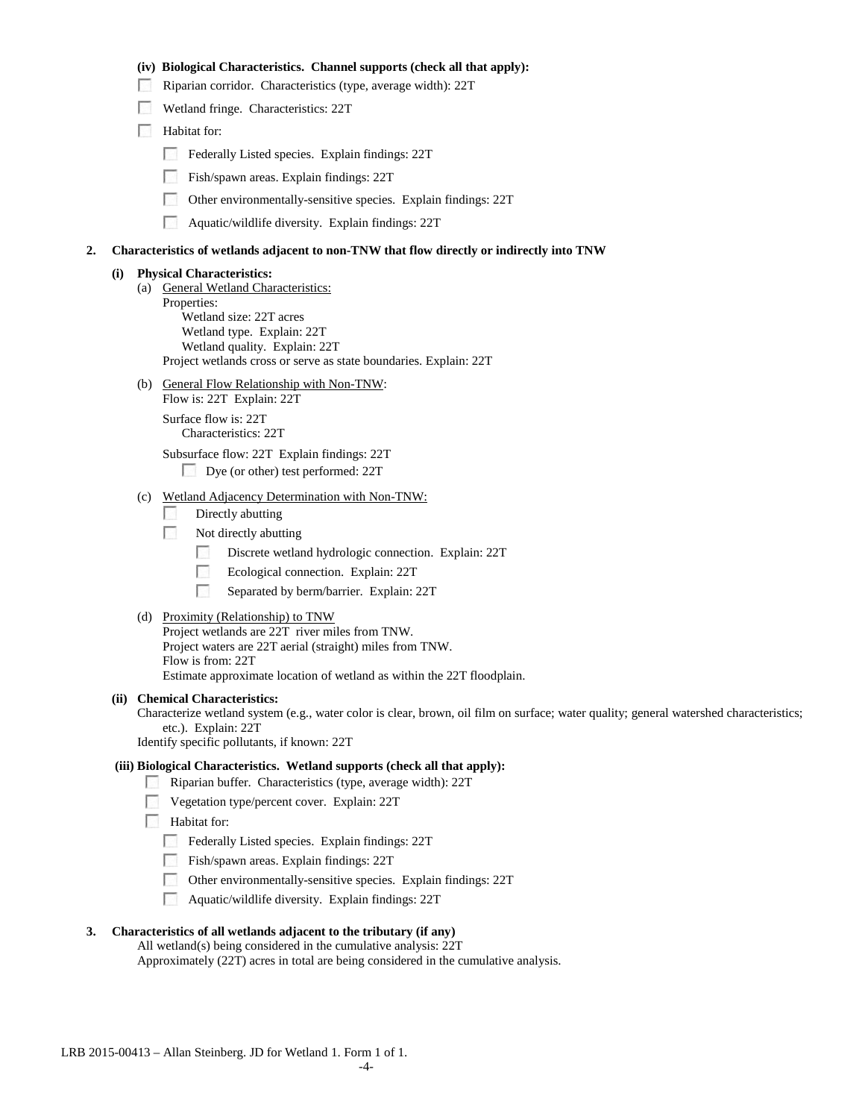#### **(iv) Biological Characteristics. Channel supports (check all that apply):**

- Riparian corridor. Characteristics (type, average width): 22T
- Wetland fringe. Characteristics: 22T
- Habitat for:
	- Federally Listed species. Explain findings: 22T
	- Fish/spawn areas. Explain findings: 22T
	- Other environmentally-sensitive species. Explain findings: 22T
	- **Aquatic/wildlife diversity. Explain findings: 22T**

#### **2. Characteristics of wetlands adjacent to non-TNW that flow directly or indirectly into TNW**

### **(i) Physical Characteristics:**

- (a) General Wetland Characteristics: Properties: Wetland size: 22T acres Wetland type. Explain: 22T Wetland quality. Explain: 22T Project wetlands cross or serve as state boundaries. Explain: 22T
- (b) General Flow Relationship with Non-TNW: Flow is: 22T Explain: 22T

Surface flow is: 22T Characteristics: 22T

Subsurface flow: 22T Explain findings: 22T

- Dye (or other) test performed: 22T
- (c) Wetland Adjacency Determination with Non-TNW:
	- **1999** Directly abutting
	- 20 Not directly abutting
		- $\sim$ Discrete wetland hydrologic connection. Explain: 22T
		- $\overline{a}$ Ecological connection. Explain: 22T
		- $\mathcal{N}_{\rm{eff}}$ Separated by berm/barrier. Explain: 22T

#### (d) Proximity (Relationship) to TNW

Project wetlands are 22T river miles from TNW. Project waters are 22T aerial (straight) miles from TNW. Flow is from: 22T Estimate approximate location of wetland as within the 22T floodplain.

#### **(ii) Chemical Characteristics:**

Characterize wetland system (e.g., water color is clear, brown, oil film on surface; water quality; general watershed characteristics; etc.). Explain: 22T

Identify specific pollutants, if known: 22T

### **(iii) Biological Characteristics. Wetland supports (check all that apply):**

Riparian buffer. Characteristics (type, average width): 22T

Vegetation type/percent cover. Explain: 22T

**Habitat for:** 

- Federally Listed species. Explain findings: 22T
- Fish/spawn areas. Explain findings: 22T
- Other environmentally-sensitive species. Explain findings: 22T
- $\mathcal{L}_{\mathcal{D}}$ Aquatic/wildlife diversity. Explain findings: 22T

# **3. Characteristics of all wetlands adjacent to the tributary (if any)**

All wetland(s) being considered in the cumulative analysis: 22T Approximately (22T) acres in total are being considered in the cumulative analysis.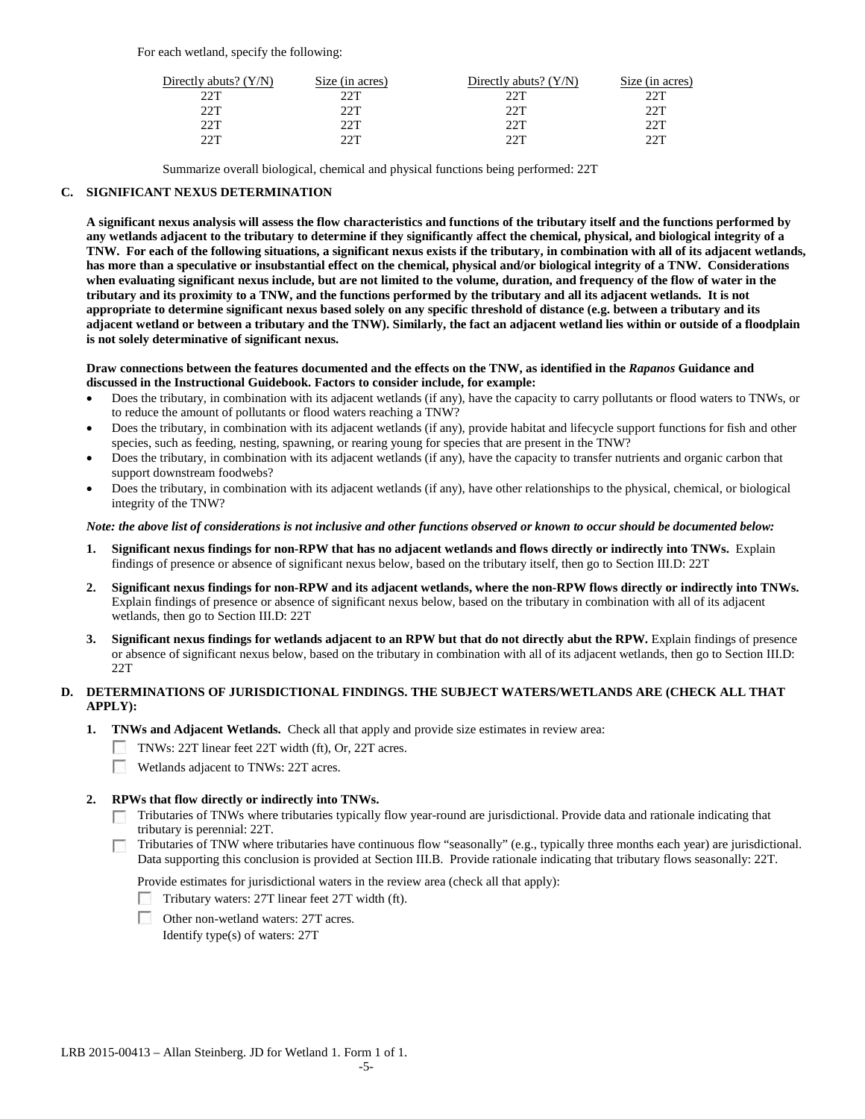For each wetland, specify the following:

| Directly abuts? (Y/N) | Size (in acres) | Directly abuts? $(Y/N)$ | Size (in acres) |
|-----------------------|-----------------|-------------------------|-----------------|
| 22T                   | つつT             | 22T                     | 22T             |
| 22T                   | つつT             | 22T                     | 22T             |
| 22T                   | つつT             | 22T                     | 22T             |
| つつT                   | ንንጥ             | つつT                     | つつT             |

Summarize overall biological, chemical and physical functions being performed: 22T

#### **C. SIGNIFICANT NEXUS DETERMINATION**

**A significant nexus analysis will assess the flow characteristics and functions of the tributary itself and the functions performed by any wetlands adjacent to the tributary to determine if they significantly affect the chemical, physical, and biological integrity of a TNW. For each of the following situations, a significant nexus exists if the tributary, in combination with all of its adjacent wetlands, has more than a speculative or insubstantial effect on the chemical, physical and/or biological integrity of a TNW. Considerations when evaluating significant nexus include, but are not limited to the volume, duration, and frequency of the flow of water in the tributary and its proximity to a TNW, and the functions performed by the tributary and all its adjacent wetlands. It is not appropriate to determine significant nexus based solely on any specific threshold of distance (e.g. between a tributary and its adjacent wetland or between a tributary and the TNW). Similarly, the fact an adjacent wetland lies within or outside of a floodplain is not solely determinative of significant nexus.** 

#### **Draw connections between the features documented and the effects on the TNW, as identified in the** *Rapanos* **Guidance and discussed in the Instructional Guidebook. Factors to consider include, for example:**

- Does the tributary, in combination with its adjacent wetlands (if any), have the capacity to carry pollutants or flood waters to TNWs, or to reduce the amount of pollutants or flood waters reaching a TNW?
- Does the tributary, in combination with its adjacent wetlands (if any), provide habitat and lifecycle support functions for fish and other species, such as feeding, nesting, spawning, or rearing young for species that are present in the TNW?
- Does the tributary, in combination with its adjacent wetlands (if any), have the capacity to transfer nutrients and organic carbon that support downstream foodwebs?
- Does the tributary, in combination with its adjacent wetlands (if any), have other relationships to the physical, chemical, or biological integrity of the TNW?

### *Note: the above list of considerations is not inclusive and other functions observed or known to occur should be documented below:*

- **1. Significant nexus findings for non-RPW that has no adjacent wetlands and flows directly or indirectly into TNWs.** Explain findings of presence or absence of significant nexus below, based on the tributary itself, then go to Section III.D: 22T
- **2. Significant nexus findings for non-RPW and its adjacent wetlands, where the non-RPW flows directly or indirectly into TNWs.**  Explain findings of presence or absence of significant nexus below, based on the tributary in combination with all of its adjacent wetlands, then go to Section III.D: 22T
- **3. Significant nexus findings for wetlands adjacent to an RPW but that do not directly abut the RPW.** Explain findings of presence or absence of significant nexus below, based on the tributary in combination with all of its adjacent wetlands, then go to Section III.D: 22T

## **D. DETERMINATIONS OF JURISDICTIONAL FINDINGS. THE SUBJECT WATERS/WETLANDS ARE (CHECK ALL THAT APPLY):**

- **1. TNWs and Adjacent Wetlands.** Check all that apply and provide size estimates in review area:
	- TNWs: 22T linear feet 22T width (ft), Or, 22T acres.
	- Wetlands adjacent to TNWs: 22T acres.

### **2. RPWs that flow directly or indirectly into TNWs.**

- Tributaries of TNWs where tributaries typically flow year-round are jurisdictional. Provide data and rationale indicating that tributary is perennial: 22T.
- Tributaries of TNW where tributaries have continuous flow "seasonally" (e.g., typically three months each year) are jurisdictional. Data supporting this conclusion is provided at Section III.B. Provide rationale indicating that tributary flows seasonally: 22T.
	- Provide estimates for jurisdictional waters in the review area (check all that apply):
	- Tributary waters: 27T linear feet 27T width (ft).
	- Other non-wetland waters: 27T acres. Identify type(s) of waters: 27T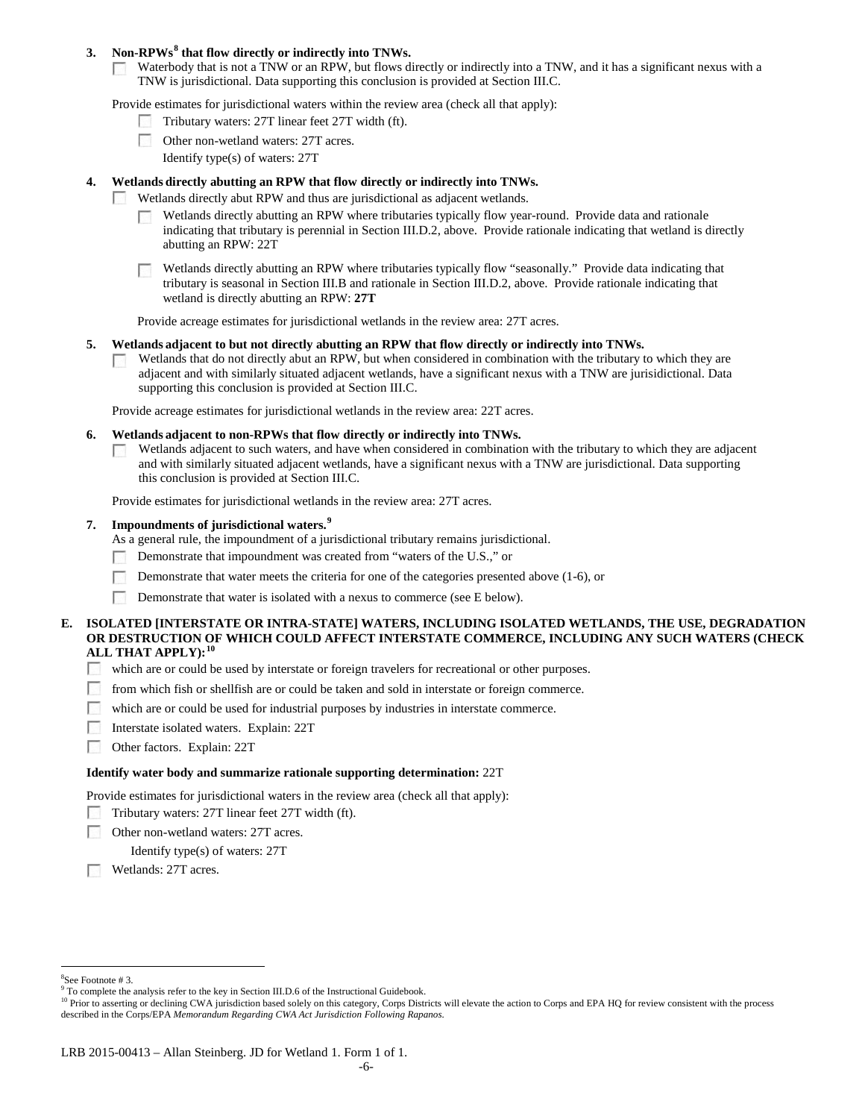### **3. Non-RPWs[8](#page-5-0) that flow directly or indirectly into TNWs.**

Waterbody that is not a TNW or an RPW, but flows directly or indirectly into a TNW, and it has a significant nexus with a  $\sim 10$ TNW is jurisdictional. Data supporting this conclusion is provided at Section III.C.

Provide estimates for jurisdictional waters within the review area (check all that apply):

- Tributary waters: 27T linear feet 27T width (ft).
- Other non-wetland waters: 27T acres.
	- Identify type(s) of waters: 27T

### **4. Wetlands directly abutting an RPW that flow directly or indirectly into TNWs.**

- **Barbara** Wetlands directly abut RPW and thus are jurisdictional as adjacent wetlands.
	- Wetlands directly abutting an RPW where tributaries typically flow year-round. Provide data and rationale indicating that tributary is perennial in Section III.D.2, above. Provide rationale indicating that wetland is directly abutting an RPW: 22T

Wetlands directly abutting an RPW where tributaries typically flow "seasonally." Provide data indicating that tributary is seasonal in Section III.B and rationale in Section III.D.2, above. Provide rationale indicating that wetland is directly abutting an RPW: **27T**

Provide acreage estimates for jurisdictional wetlands in the review area: 27T acres.

#### **5. Wetlands adjacent to but not directly abutting an RPW that flow directly or indirectly into TNWs.**

Wetlands that do not directly abut an RPW, but when considered in combination with the tributary to which they are  $\sim$ adjacent and with similarly situated adjacent wetlands, have a significant nexus with a TNW are jurisidictional. Data supporting this conclusion is provided at Section III.C.

Provide acreage estimates for jurisdictional wetlands in the review area: 22T acres.

- **6. Wetlands adjacent to non-RPWs that flow directly or indirectly into TNWs.** 
	- Wetlands adjacent to such waters, and have when considered in combination with the tributary to which they are adjacent  $\sim$ and with similarly situated adjacent wetlands, have a significant nexus with a TNW are jurisdictional. Data supporting this conclusion is provided at Section III.C.

Provide estimates for jurisdictional wetlands in the review area: 27T acres.

### **7. Impoundments of jurisdictional waters. [9](#page-5-1)**

As a general rule, the impoundment of a jurisdictional tributary remains jurisdictional.

- Demonstrate that impoundment was created from "waters of the U.S.," or
- Demonstrate that water meets the criteria for one of the categories presented above (1-6), or
- Demonstrate that water is isolated with a nexus to commerce (see E below). <u>г.</u>

### **E. ISOLATED [INTERSTATE OR INTRA-STATE] WATERS, INCLUDING ISOLATED WETLANDS, THE USE, DEGRADATION OR DESTRUCTION OF WHICH COULD AFFECT INTERSTATE COMMERCE, INCLUDING ANY SUCH WATERS (CHECK ALL THAT APPLY):[10](#page-5-2)**

- $\sim$ which are or could be used by interstate or foreign travelers for recreational or other purposes.
- **1999** from which fish or shellfish are or could be taken and sold in interstate or foreign commerce.
- $\langle \cdot, \cdot \rangle$ which are or could be used for industrial purposes by industries in interstate commerce.
- **1999** Interstate isolated waters.Explain: 22T
- $\sim$ Other factors.Explain: 22T

#### **Identify water body and summarize rationale supporting determination:** 22T

Provide estimates for jurisdictional waters in the review area (check all that apply):

- Tributary waters: 27T linear feet 27T width (ft).
- Е Other non-wetland waters: 27T acres.

Identify type(s) of waters: 27T

Wetlands: 27T acres.

 $\frac{1}{8}$ See Footnote # 3.

<span id="page-5-2"></span><span id="page-5-1"></span><span id="page-5-0"></span><sup>&</sup>lt;sup>9</sup> To complete the analysis refer to the key in Section III.D.6 of the Instructional Guidebook.

<sup>&</sup>lt;sup>10</sup> Prior to asserting or declining CWA jurisdiction based solely on this category, Corps Districts will elevate the action to Corps and EPA HQ for review consistent with the process described in the Corps/EPA *Memorandum Regarding CWA Act Jurisdiction Following Rapanos.*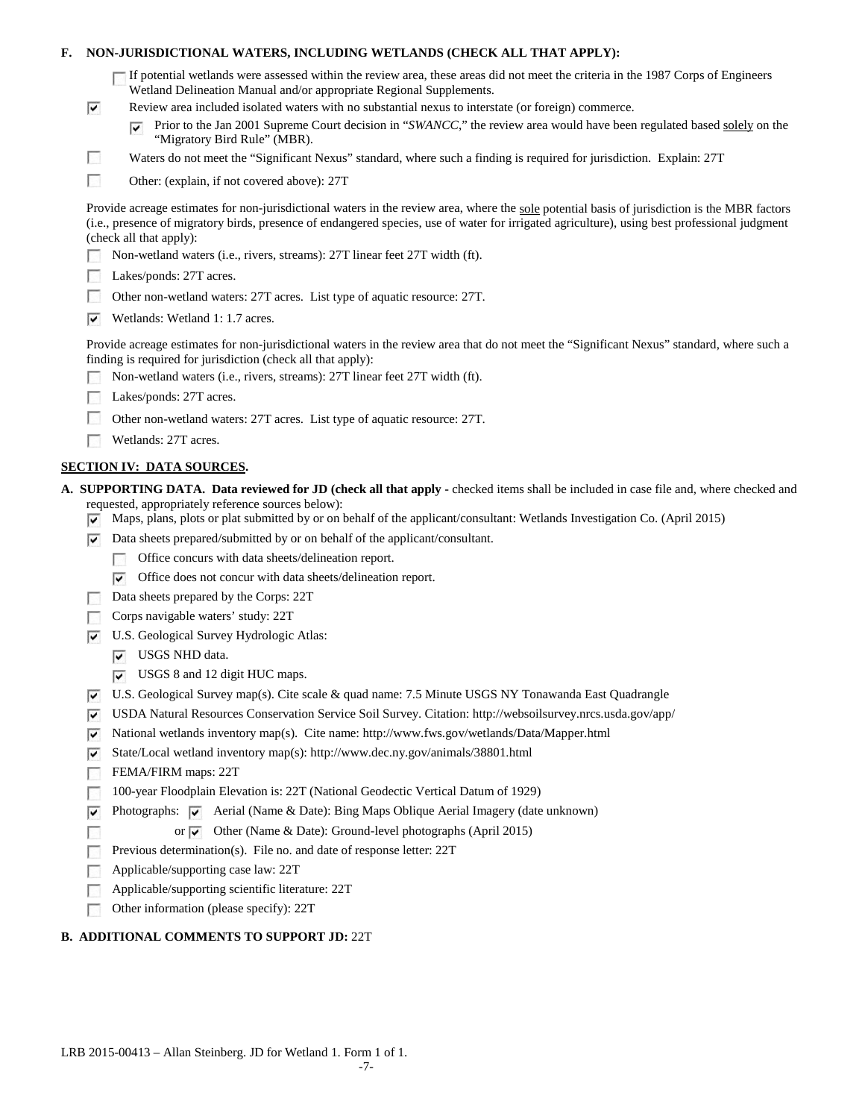### **F. NON-JURISDICTIONAL WATERS, INCLUDING WETLANDS (CHECK ALL THAT APPLY):**

| $\Box$ If potential wetlands were assessed within the review area, these areas did not meet the criteria in the 1987 Corps of Engineers |
|-----------------------------------------------------------------------------------------------------------------------------------------|
| Wetland Delineation Manual and/or appropriate Regional Supplements.                                                                     |

- Review area included isolated waters with no substantial nexus to interstate (or foreign) commerce.
	- Prior to the Jan 2001 Supreme Court decision in "*SWANCC*," the review area would have been regulated based solely on the  $\overline{\mathbf{v}}$ "Migratory Bird Rule" (MBR).
- Waters do not meet the "Significant Nexus" standard, where such a finding is required for jurisdiction. Explain: 27T
- $\overline{a}$ Other: (explain, if not covered above): 27T

Provide acreage estimates for non-jurisdictional waters in the review area, where the sole potential basis of jurisdiction is the MBR factors (i.e., presence of migratory birds, presence of endangered species, use of water for irrigated agriculture), using best professional judgment (check all that apply):

- Non-wetland waters (i.e., rivers, streams): 27T linear feet 27T width (ft).
- Lakes/ponds: 27T acres. **COLLEGE**

 $\overline{\mathbf{v}}$ 

F

- $\sim$ Other non-wetland waters: 27T acres. List type of aquatic resource: 27T.
- Wetlands: Wetland 1: 1.7 acres.

Provide acreage estimates for non-jurisdictional waters in the review area that do not meet the "Significant Nexus" standard, where such a finding is required for jurisdiction (check all that apply):

- Non-wetland waters (i.e., rivers, streams): 27T linear feet 27T width (ft).
- Lakes/ponds: 27T acres.
- г Other non-wetland waters: 27T acres. List type of aquatic resource: 27T.
- Wetlands: 27T acres.

### **SECTION IV: DATA SOURCES.**

- **A. SUPPORTING DATA. Data reviewed for JD (check all that apply -** checked items shall be included in case file and, where checked and requested, appropriately reference sources below):
	- Maps, plans, plots or plat submitted by or on behalf of the applicant/consultant: Wetlands Investigation Co. (April 2015)
	- $\nabla$  Data sheets prepared/submitted by or on behalf of the applicant/consultant.
		- Office concurs with data sheets/delineation report.
			- $\triangledown$  Office does not concur with data sheets/delineation report.
	- Data sheets prepared by the Corps: 22T
	- Corps navigable waters' study: 22T
	- U.S. Geological Survey Hydrologic Atlas:
		- **V** USGS NHD data.
		- USGS 8 and 12 digit HUC maps.
	- U.S. Geological Survey map(s). Cite scale & quad name: 7.5 Minute USGS NY Tonawanda East Quadrangle
	- USDA Natural Resources Conservation Service Soil Survey. Citation: http://websoilsurvey.nrcs.usda.gov/app/
	- $\triangledown$  National wetlands inventory map(s). Cite name: http://www.fws.gov/wetlands/Data/Mapper.html
	- $\overline{\mathbf{v}}$ State/Local wetland inventory map(s): http://www.dec.ny.gov/animals/38801.html
	- **1999** FEMA/FIRM maps: 22T

Г

- 100-year Floodplain Elevation is: 22T (National Geodectic Vertical Datum of 1929) **FRI**
- Photographs:  $\overline{\vee}$  Aerial (Name & Date): Bing Maps Oblique Aerial Imagery (date unknown) ⊽
	- or  $\vee$  Other (Name & Date): Ground-level photographs (April 2015)
- Previous determination(s). File no. and date of response letter: 22T Е
- Applicable/supporting case law: 22T Г
- Applicable/supporting scientific literature: 22T г
- Other information (please specify): 22T Е

#### **B. ADDITIONAL COMMENTS TO SUPPORT JD:** 22T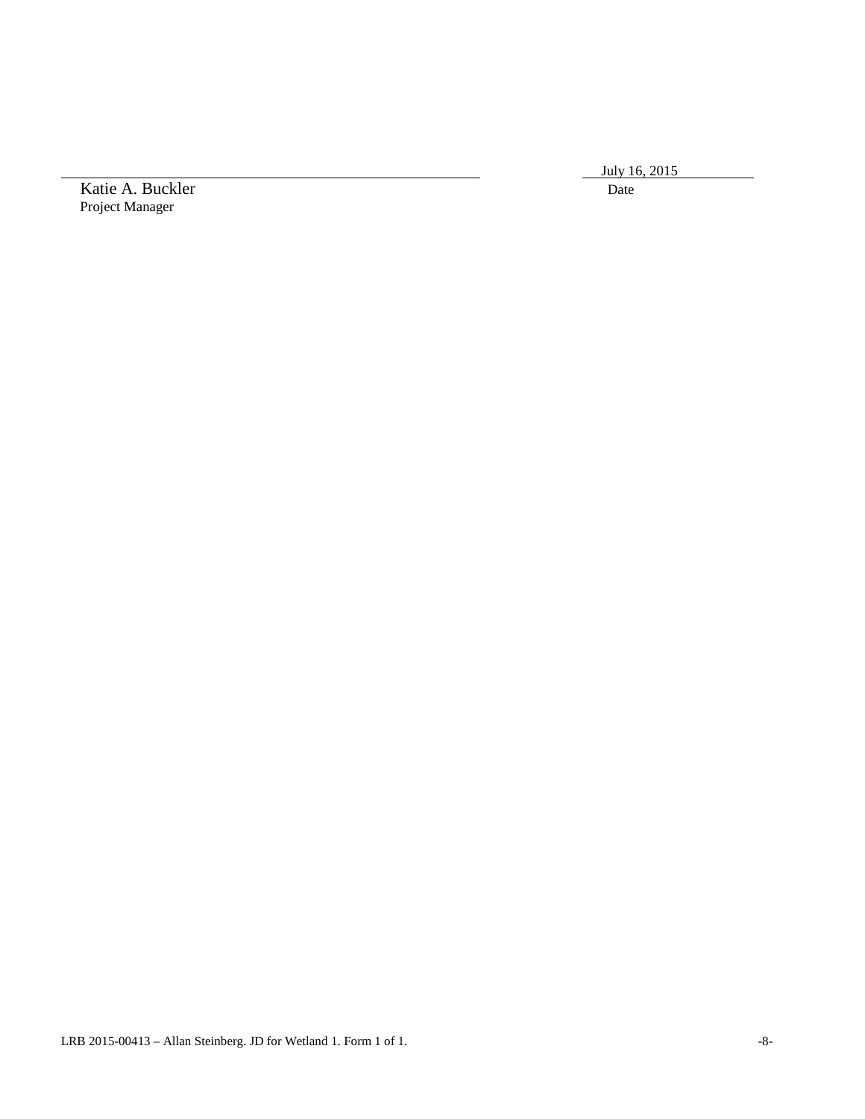July 16, 2015

Katie A. Buckler Date Project Manager